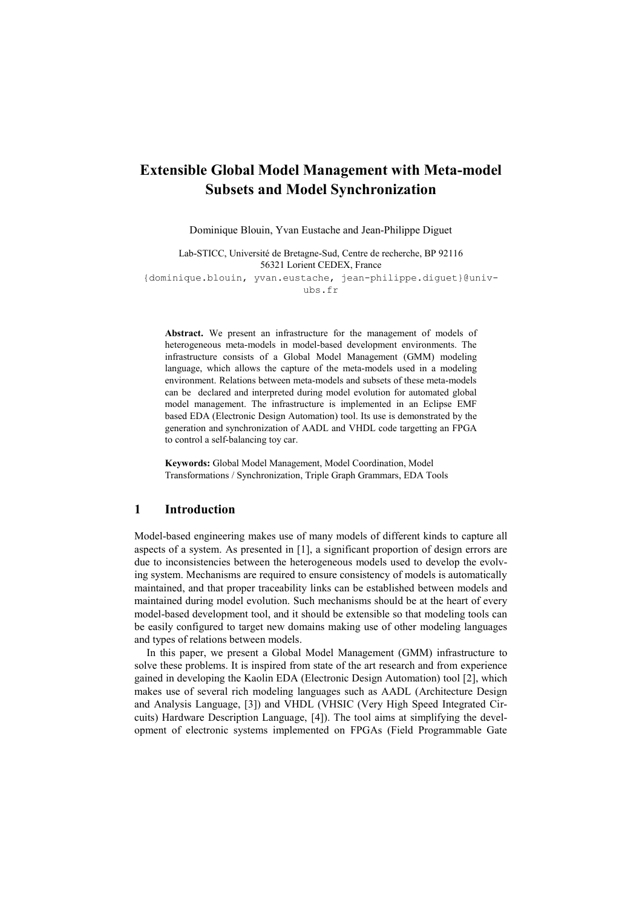# **Extensible Global Model Management with Meta-model Subsets and Model Synchronization**

Dominique Blouin, Yvan Eustache and Jean-Philippe Diguet

Lab-STICC, Université de Bretagne-Sud, Centre de recherche, BP 92116 56321 Lorient CEDEX, France

{dominique.blouin, yvan.eustache, [jean-philippe.diguet}@univ](mailto:jean-philippe.diguet%7d@univ-ubs.fr)[ubs.fr](mailto:jean-philippe.diguet%7d@univ-ubs.fr)

**Abstract.** We present an infrastructure for the management of models of heterogeneous meta-models in model-based development environments. The infrastructure consists of a Global Model Management (GMM) modeling language, which allows the capture of the meta-models used in a modeling environment. Relations between meta-models and subsets of these meta-models can be declared and interpreted during model evolution for automated global model management. The infrastructure is implemented in an Eclipse EMF based EDA (Electronic Design Automation) tool. Its use is demonstrated by the generation and synchronization of AADL and VHDL code targetting an FPGA to control a self-balancing toy car.

**Keywords:** Global Model Management, Model Coordination, Model Transformations / Synchronization, Triple Graph Grammars, EDA Tools

### **1 Introduction**

Model-based engineering makes use of many models of different kinds to capture all aspects of a system. As presented in [\[1\]](#page-9-0), a significant proportion of design errors are due to inconsistencies between the heterogeneous models used to develop the evolving system. Mechanisms are required to ensure consistency of models is automatically maintained, and that proper traceability links can be established between models and maintained during model evolution. Such mechanisms should be at the heart of every model-based development tool, and it should be extensible so that modeling tools can be easily configured to target new domains making use of other modeling languages and types of relations between models.

In this paper, we present a Global Model Management (GMM) infrastructure to solve these problems. It is inspired from state of the art research and from experience gained in developing the Kaolin EDA (Electronic Design Automation) tool [\[2\]](#page-9-1), which makes use of several rich modeling languages such as AADL (Architecture Design and Analysis Language, [\[3\]](#page-9-2)) and VHDL (VHSIC (Very High Speed Integrated Circuits) Hardware Description Language, [\[4\]](#page-9-3)). The tool aims at simplifying the development of electronic systems implemented on FPGAs (Field Programmable Gate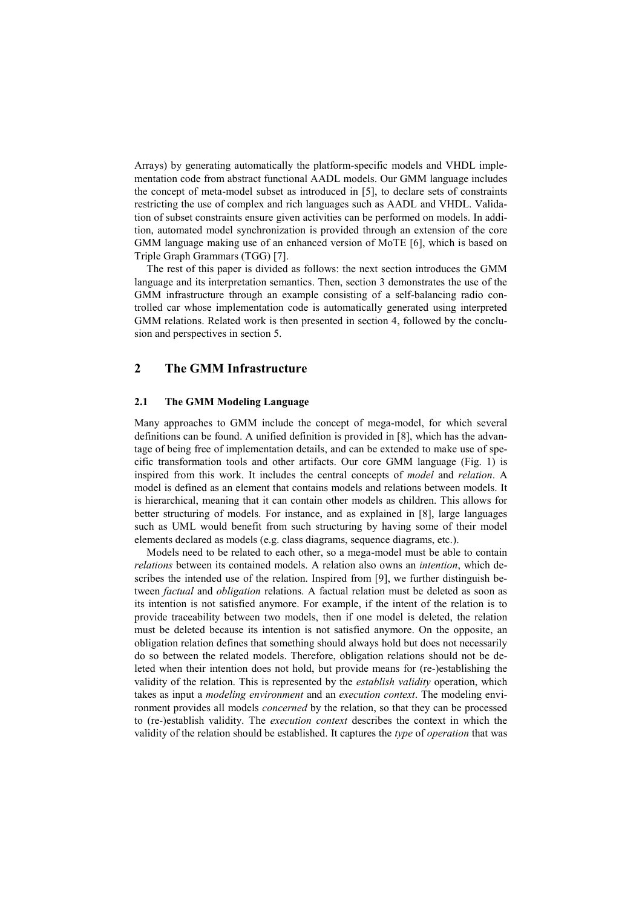Arrays) by generating automatically the platform-specific models and VHDL implementation code from abstract functional AADL models. Our GMM language includes the concept of meta-model subset as introduced in [\[5\]](#page-9-4), to declare sets of constraints restricting the use of complex and rich languages such as AADL and VHDL. Validation of subset constraints ensure given activities can be performed on models. In addition, automated model synchronization is provided through an extension of the core GMM language making use of an enhanced version of MoTE [\[6\]](#page-9-5), which is based on Triple Graph Grammars (TGG) [\[7\]](#page-9-6).

The rest of this paper is divided as follows: the next section introduces the GMM language and its interpretation semantics. Then, section [3](#page-5-0) demonstrates the use of the GMM infrastructure through an example consisting of a self-balancing radio controlled car whose implementation code is automatically generated using interpreted GMM relations. Related work is then presented in section [4,](#page-8-0) followed by the conclusion and perspectives in section [5.](#page-8-1)

# **2 The GMM Infrastructure**

#### **2.1 The GMM Modeling Language**

Many approaches to GMM include the concept of mega-model, for which several definitions can be found. A unified definition is provided in [\[8\]](#page-9-7), which has the advantage of being free of implementation details, and can be extended to make use of specific transformation tools and other artifacts. Our core GMM language [\(Fig.](#page-2-0) 1) is inspired from this work. It includes the central concepts of *model* and *relation*. A model is defined as an element that contains models and relations between models. It is hierarchical, meaning that it can contain other models as children. This allows for better structuring of models. For instance, and as explained in [\[8\]](#page-9-7), large languages such as UML would benefit from such structuring by having some of their model elements declared as models (e.g. class diagrams, sequence diagrams, etc.).

Models need to be related to each other, so a mega-model must be able to contain *relations* between its contained models. A relation also owns an *intention*, which describes the intended use of the relation. Inspired from [\[9\]](#page-9-8), we further distinguish between *factual* and *obligation* relations. A factual relation must be deleted as soon as its intention is not satisfied anymore. For example, if the intent of the relation is to provide traceability between two models, then if one model is deleted, the relation must be deleted because its intention is not satisfied anymore. On the opposite, an obligation relation defines that something should always hold but does not necessarily do so between the related models. Therefore, obligation relations should not be deleted when their intention does not hold, but provide means for (re-)establishing the validity of the relation. This is represented by the *establish validity* operation, which takes as input a *modeling environment* and an *execution context*. The modeling environment provides all models *concerned* by the relation, so that they can be processed to (re-)establish validity. The *execution context* describes the context in which the validity of the relation should be established. It captures the *type* of *operation* that was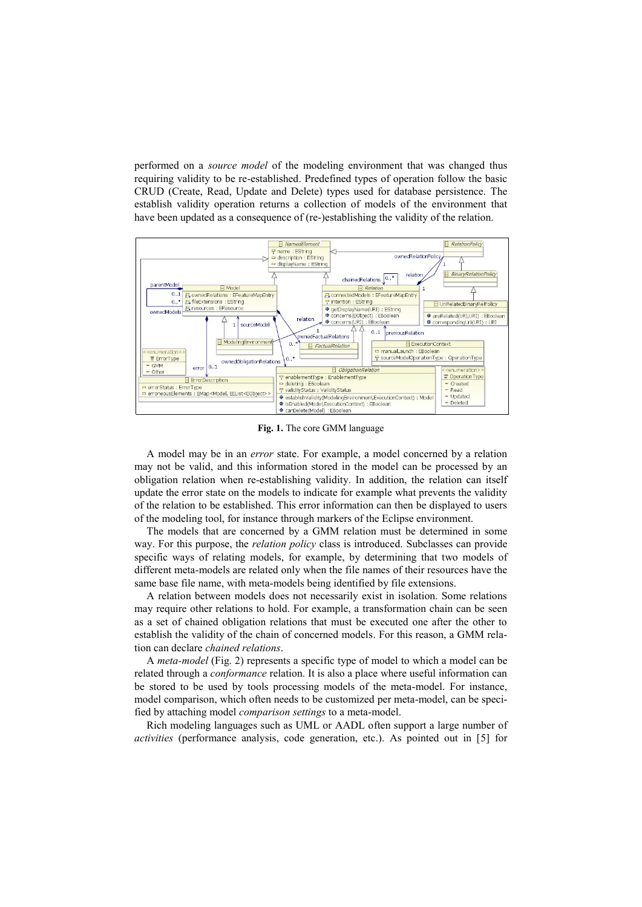performed on a *source model* of the modeling environment that was changed thus requiring validity to be re-established. Predefined types of operation follow the basic CRUD (Create, Read, Update and Delete) types used for database persistence. The establish validity operation returns a collection of models of the environment that have been updated as a consequence of (re-)establishing the validity of the relation.



**Fig. 1.** The core GMM language

<span id="page-2-0"></span>A model may be in an *error* state. For example, a model concerned by a relation may not be valid, and this information stored in the model can be processed by an obligation relation when re-establishing validity. In addition, the relation can itself update the error state on the models to indicate for example what prevents the validity of the relation to be established. This error information can then be displayed to users of the modeling tool, for instance through markers of the Eclipse environment.

The models that are concerned by a GMM relation must be determined in some way. For this purpose, the *relation policy* class is introduced. Subclasses can provide specific ways of relating models, for example, by determining that two models of different meta-models are related only when the file names of their resources have the same base file name, with meta-models being identified by file extensions.

A relation between models does not necessarily exist in isolation. Some relations may require other relations to hold. For example, a transformation chain can be seen as a set of chained obligation relations that must be executed one after the other to establish the validity of the chain of concerned models. For this reason, a GMM relation can declare *chained relations*.

A *meta-model* [\(Fig.](#page-3-0) 2) represents a specific type of model to which a model can be related through a *conformance* relation. It is also a place where useful information can be stored to be used by tools processing models of the meta-model. For instance, model comparison, which often needs to be customized per meta-model, can be specified by attaching model *comparison settings* to a meta-model.

Rich modeling languages such as UML or AADL often support a large number of *activities* (performance analysis, code generation, etc.). As pointed out in [\[5\]](#page-9-4) for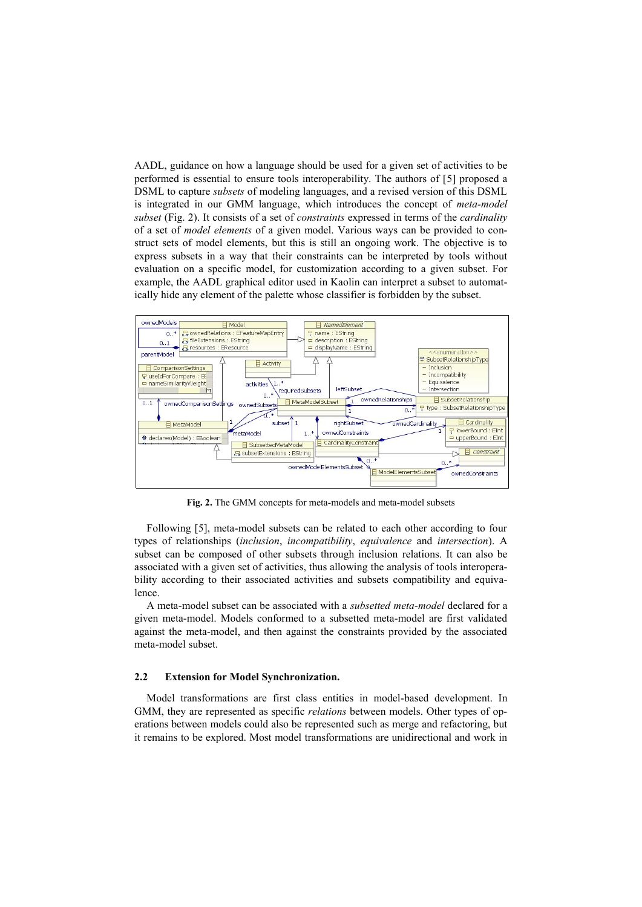AADL, guidance on how a language should be used for a given set of activities to be performed is essential to ensure tools interoperability. The authors of [\[5\]](#page-9-4) proposed a DSML to capture *subsets* of modeling languages, and a revised version of this DSML is integrated in our GMM language, which introduces the concept of *meta-model subset* [\(Fig.](#page-3-0) 2). It consists of a set of *constraints* expressed in terms of the *cardinality* of a set of *model elements* of a given model. Various ways can be provided to construct sets of model elements, but this is still an ongoing work. The objective is to express subsets in a way that their constraints can be interpreted by tools without evaluation on a specific model, for customization according to a given subset. For example, the AADL graphical editor used in Kaolin can interpret a subset to automatically hide any element of the palette whose classifier is forbidden by the subset.



**Fig. 2.** The GMM concepts for meta-models and meta-model subsets

<span id="page-3-0"></span>Following [\[5\]](#page-9-4), meta-model subsets can be related to each other according to four types of relationships (*inclusion*, *incompatibility*, *equivalence* and *intersection*). A subset can be composed of other subsets through inclusion relations. It can also be associated with a given set of activities, thus allowing the analysis of tools interoperability according to their associated activities and subsets compatibility and equivalence.

A meta-model subset can be associated with a *subsetted meta-model* declared for a given meta-model. Models conformed to a subsetted meta-model are first validated against the meta-model, and then against the constraints provided by the associated meta-model subset.

### **2.2 Extension for Model Synchronization.**

Model transformations are first class entities in model-based development. In GMM, they are represented as specific *relations* between models. Other types of operations between models could also be represented such as merge and refactoring, but it remains to be explored. Most model transformations are unidirectional and work in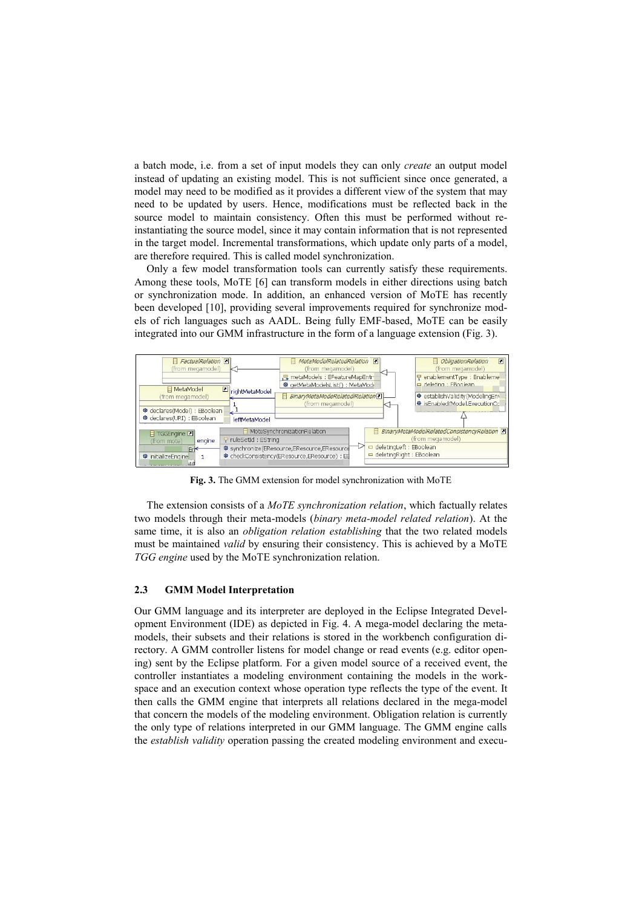a batch mode, i.e. from a set of input models they can only *create* an output model instead of updating an existing model. This is not sufficient since once generated, a model may need to be modified as it provides a different view of the system that may need to be updated by users. Hence, modifications must be reflected back in the source model to maintain consistency. Often this must be performed without reinstantiating the source model, since it may contain information that is not represented in the target model. Incremental transformations, which update only parts of a model, are therefore required. This is called model synchronization.

Only a few model transformation tools can currently satisfy these requirements. Among these tools, MoTE [\[6\]](#page-9-5) can transform models in either directions using batch or synchronization mode. In addition, an enhanced version of MoTE has recently been developed [\[10\]](#page-9-9), providing several improvements required for synchronize models of rich languages such as AADL. Being fully EMF-based, MoTE can be easily integrated into our GMM infrastructure in the form of a language extension [\(Fig.](#page-4-0) 3).



**Fig. 3.** The GMM extension for model synchronization with MoTE

<span id="page-4-0"></span>The extension consists of a *MoTE synchronization relation*, which factually relates two models through their meta-models (*binary meta-model related relation*). At the same time, it is also an *obligation relation establishing* that the two related models must be maintained *valid* by ensuring their consistency. This is achieved by a MoTE *TGG engine* used by the MoTE synchronization relation.

#### **2.3 GMM Model Interpretation**

Our GMM language and its interpreter are deployed in the Eclipse Integrated Development Environment (IDE) as depicted in [Fig.](#page-5-1) 4. A mega-model declaring the metamodels, their subsets and their relations is stored in the workbench configuration directory. A GMM controller listens for model change or read events (e.g. editor opening) sent by the Eclipse platform. For a given model source of a received event, the controller instantiates a modeling environment containing the models in the workspace and an execution context whose operation type reflects the type of the event. It then calls the GMM engine that interprets all relations declared in the mega-model that concern the models of the modeling environment. Obligation relation is currently the only type of relations interpreted in our GMM language. The GMM engine calls the *establish validity* operation passing the created modeling environment and execu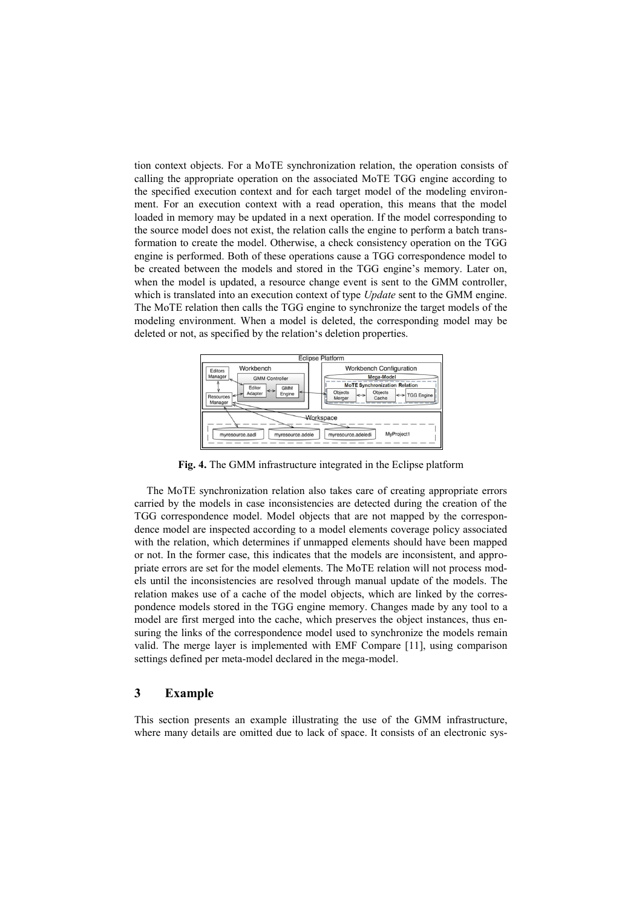tion context objects. For a MoTE synchronization relation, the operation consists of calling the appropriate operation on the associated MoTE TGG engine according to the specified execution context and for each target model of the modeling environment. For an execution context with a read operation, this means that the model loaded in memory may be updated in a next operation. If the model corresponding to the source model does not exist, the relation calls the engine to perform a batch transformation to create the model. Otherwise, a check consistency operation on the TGG engine is performed. Both of these operations cause a TGG correspondence model to be created between the models and stored in the TGG engine's memory. Later on, when the model is updated, a resource change event is sent to the GMM controller, which is translated into an execution context of type *Update* sent to the GMM engine. The MoTE relation then calls the TGG engine to synchronize the target models of the modeling environment. When a model is deleted, the corresponding model may be deleted or not, as specified by the relation's deletion properties.



**Fig. 4.** The GMM infrastructure integrated in the Eclipse platform

<span id="page-5-1"></span>The MoTE synchronization relation also takes care of creating appropriate errors carried by the models in case inconsistencies are detected during the creation of the TGG correspondence model. Model objects that are not mapped by the correspondence model are inspected according to a model elements coverage policy associated with the relation, which determines if unmapped elements should have been mapped or not. In the former case, this indicates that the models are inconsistent, and appropriate errors are set for the model elements. The MoTE relation will not process models until the inconsistencies are resolved through manual update of the models. The relation makes use of a cache of the model objects, which are linked by the correspondence models stored in the TGG engine memory. Changes made by any tool to a model are first merged into the cache, which preserves the object instances, thus ensuring the links of the correspondence model used to synchronize the models remain valid. The merge layer is implemented with EMF Compare [\[11\]](#page-9-10), using comparison settings defined per meta-model declared in the mega-model.

### <span id="page-5-0"></span>**3 Example**

This section presents an example illustrating the use of the GMM infrastructure, where many details are omitted due to lack of space. It consists of an electronic sys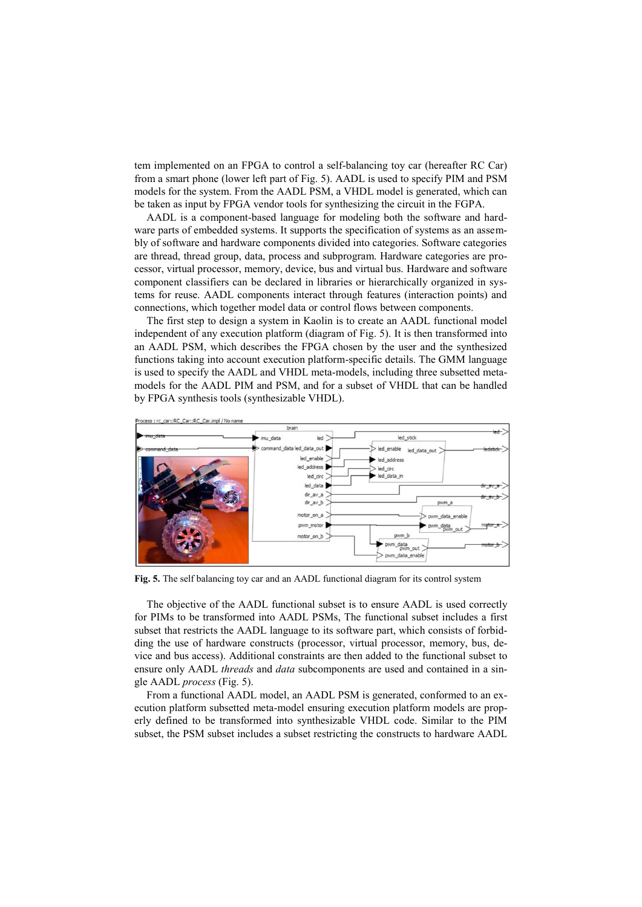tem implemented on an FPGA to control a self-balancing toy car (hereafter RC Car) from a smart phone (lower left part of [Fig.](#page-6-0) 5). AADL is used to specify PIM and PSM models for the system. From the AADL PSM, a VHDL model is generated, which can be taken as input by FPGA vendor tools for synthesizing the circuit in the FGPA.

AADL is a component-based language for modeling both the software and hardware parts of embedded systems. It supports the specification of systems as an assembly of software and hardware components divided into categories. Software categories are thread, thread group, data, process and subprogram. Hardware categories are processor, virtual processor, memory, device, bus and virtual bus. Hardware and software component classifiers can be declared in libraries or hierarchically organized in systems for reuse. AADL components interact through features (interaction points) and connections, which together model data or control flows between components.

The first step to design a system in Kaolin is to create an AADL functional model independent of any execution platform (diagram of [Fig.](#page-6-0) 5). It is then transformed into an AADL PSM, which describes the FPGA chosen by the user and the synthesized functions taking into account execution platform-specific details. The GMM language is used to specify the AADL and VHDL meta-models, including three subsetted metamodels for the AADL PIM and PSM, and for a subset of VHDL that can be handled by FPGA synthesis tools (synthesizable VHDL).



<span id="page-6-0"></span>**Fig. 5.** The self balancing toy car and an AADL functional diagram for its control system

The objective of the AADL functional subset is to ensure AADL is used correctly for PIMs to be transformed into AADL PSMs, The functional subset includes a first subset that restricts the AADL language to its software part, which consists of forbidding the use of hardware constructs (processor, virtual processor, memory, bus, device and bus access). Additional constraints are then added to the functional subset to ensure only AADL *threads* and *data* subcomponents are used and contained in a single AADL *process* [\(Fig.](#page-6-0) 5).

From a functional AADL model, an AADL PSM is generated, conformed to an execution platform subsetted meta-model ensuring execution platform models are properly defined to be transformed into synthesizable VHDL code. Similar to the PIM subset, the PSM subset includes a subset restricting the constructs to hardware AADL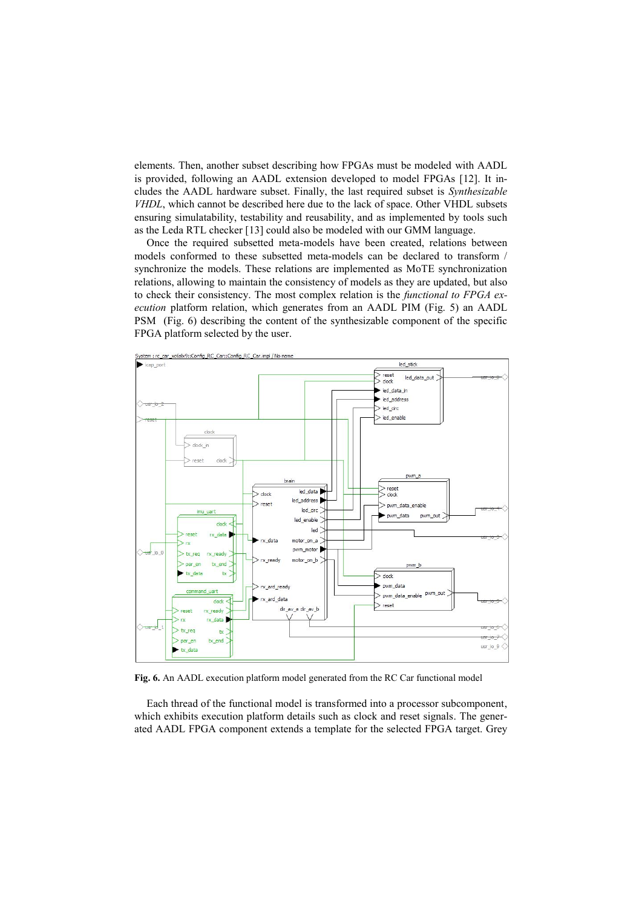elements. Then, another subset describing how FPGAs must be modeled with AADL is provided, following an AADL extension developed to model FPGAs [\[12\]](#page-9-11). It includes the AADL hardware subset. Finally, the last required subset is *Synthesizable VHDL*, which cannot be described here due to the lack of space. Other VHDL subsets ensuring simulatability, testability and reusability, and as implemented by tools such as the Leda RTL checker [\[13\]](#page-9-12) could also be modeled with our GMM language.

Once the required subsetted meta-models have been created, relations between models conformed to these subsetted meta-models can be declared to transform / synchronize the models. These relations are implemented as MoTE synchronization relations, allowing to maintain the consistency of models as they are updated, but also to check their consistency. The most complex relation is the *functional to FPGA execution* platform relation, which generates from an AADL PIM [\(Fig.](#page-6-0) 5) an AADL PSM [\(Fig.](#page-7-0) 6) describing the content of the synthesizable component of the specific FPGA platform selected by the user.



<span id="page-7-0"></span>**Fig. 6.** An AADL execution platform model generated from the RC Car functional model

Each thread of the functional model is transformed into a processor subcomponent, which exhibits execution platform details such as clock and reset signals. The generated AADL FPGA component extends a template for the selected FPGA target. Grey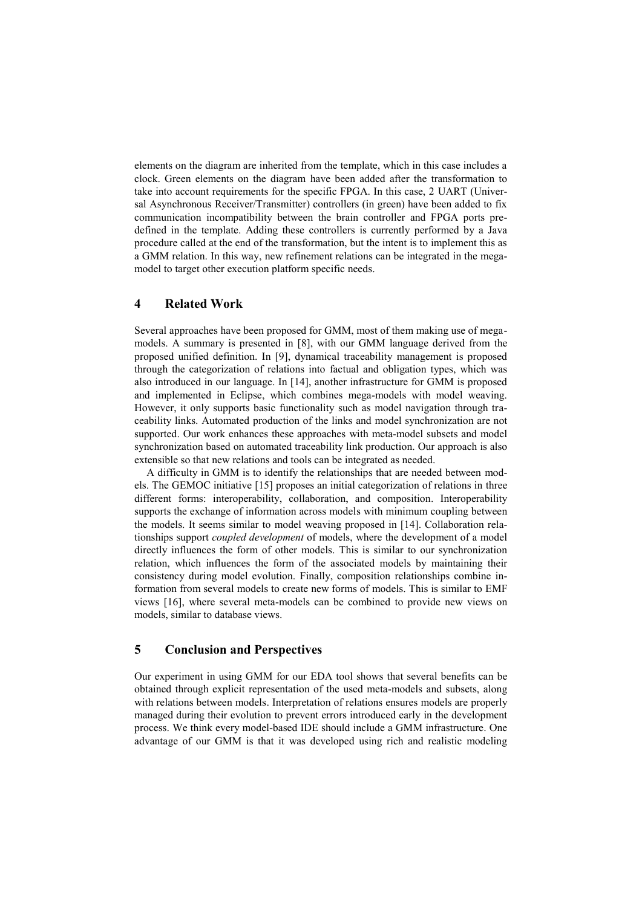elements on the diagram are inherited from the template, which in this case includes a clock. Green elements on the diagram have been added after the transformation to take into account requirements for the specific FPGA. In this case, 2 UART (Universal Asynchronous Receiver/Transmitter) controllers (in green) have been added to fix communication incompatibility between the brain controller and FPGA ports predefined in the template. Adding these controllers is currently performed by a Java procedure called at the end of the transformation, but the intent is to implement this as a GMM relation. In this way, new refinement relations can be integrated in the megamodel to target other execution platform specific needs.

# <span id="page-8-0"></span>**4 Related Work**

Several approaches have been proposed for GMM, most of them making use of megamodels. A summary is presented in [\[8\]](#page-9-7), with our GMM language derived from the proposed unified definition. In [\[9\]](#page-9-8), dynamical traceability management is proposed through the categorization of relations into factual and obligation types, which was also introduced in our language. In [\[14\]](#page-9-13), another infrastructure for GMM is proposed and implemented in Eclipse, which combines mega-models with model weaving. However, it only supports basic functionality such as model navigation through traceability links. Automated production of the links and model synchronization are not supported. Our work enhances these approaches with meta-model subsets and model synchronization based on automated traceability link production. Our approach is also extensible so that new relations and tools can be integrated as needed.

A difficulty in GMM is to identify the relationships that are needed between models. The GEMOC initiative [\[15\]](#page-9-14) proposes an initial categorization of relations in three different forms: interoperability, collaboration, and composition. Interoperability supports the exchange of information across models with minimum coupling between the models. It seems similar to model weaving proposed in [\[14\]](#page-9-13). Collaboration relationships support *coupled development* of models, where the development of a model directly influences the form of other models. This is similar to our synchronization relation, which influences the form of the associated models by maintaining their consistency during model evolution. Finally, composition relationships combine information from several models to create new forms of models. This is similar to EMF views [\[16\]](#page-9-15), where several meta-models can be combined to provide new views on models, similar to database views.

# <span id="page-8-1"></span>**5 Conclusion and Perspectives**

Our experiment in using GMM for our EDA tool shows that several benefits can be obtained through explicit representation of the used meta-models and subsets, along with relations between models. Interpretation of relations ensures models are properly managed during their evolution to prevent errors introduced early in the development process. We think every model-based IDE should include a GMM infrastructure. One advantage of our GMM is that it was developed using rich and realistic modeling